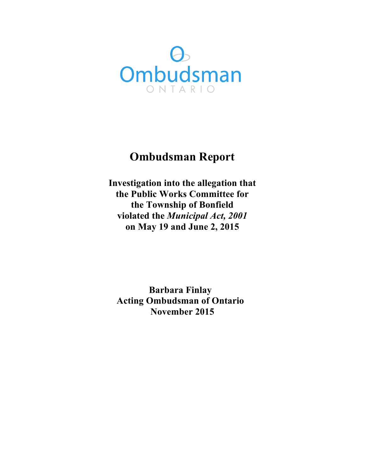

## **Ombudsman Report**

 **Investigation into the allegation that the Public Works Committee for the Township of Bonfield violated the** *Municipal Act, 2001*   **on May 19 and June 2, 2015** 

 **Acting Ombudsman of Ontario November 2015Barbara Finlay**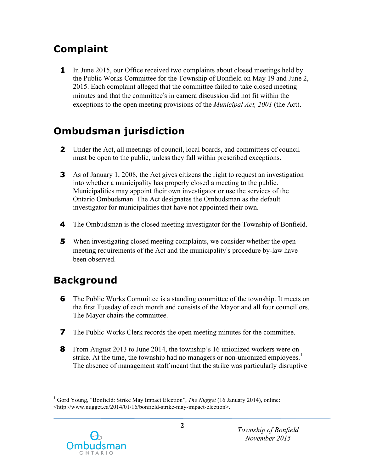# **Complaint**

**1** In June 2015, our Office received two complaints about closed meetings held by the Public Works Committee for the Township of Bonfield on May 19 and June 2, 2015. Each complaint alleged that the committee failed to take closed meeting minutes and that the committee's in camera discussion did not fit within the exceptions to the open meeting provisions of the *Municipal Act, 2001* (the Act).

## **Ombudsman jurisdiction**

- **2** Under the Act, all meetings of council, local boards, and committees of council must be open to the public, unless they fall within prescribed exceptions.
- **3** As of January 1, 2008, the Act gives citizens the right to request an investigation into whether a municipality has properly closed a meeting to the public. Municipalities may appoint their own investigator or use the services of the Ontario Ombudsman. The Act designates the Ombudsman as the default investigator for municipalities that have not appointed their own.
- **4** The Ombudsman is the closed meeting investigator for the Township of Bonfield.
- **5** When investigating closed meeting complaints, we consider whether the open meeting requirements of the Act and the municipality's procedure by-law have been observed.

## **Background**

- **6** The Public Works Committee is a standing committee of the township. It meets on the first Tuesday of each month and consists of the Mayor and all four councillors. The Mayor chairs the committee.
- **7** The Public Works Clerk records the open meeting minutes for the committee.
- **8** From August 2013 to June 2014, the township's 16 unionized workers were on strike. At the time, the township had no managers or non-unionized employees.<sup>1</sup> The absence of management staff meant that the strike was particularly disruptive

<sup>&</sup>lt;sup>1</sup> Gord Young, "Bonfield: Strike May Impact Election", *The Nugget* (16 January 2014), online: <http://www.nugget.ca/2014/01/16/bonfield-strike-may-impact-election>.



1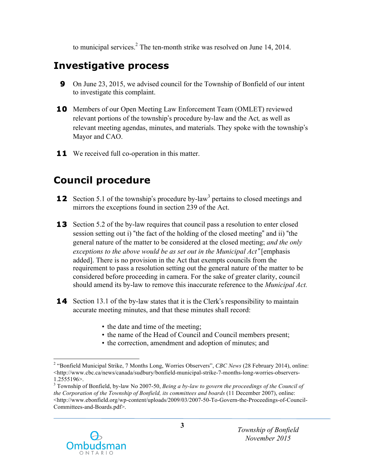to municipal services.<sup>2</sup> The ten-month strike was resolved on June 14, 2014.

# **Investigative process**

- **9** On June 23, 2015, we advised council for the Township of Bonfield of our intent to investigate this complaint.
- **10** Members of our Open Meeting Law Enforcement Team (OMLET) reviewed relevant portions of the township's procedure by-law and the Act*,* as well as relevant meeting agendas, minutes, and materials. They spoke with the township's Mayor and CAO.
- **11** We received full co-operation in this matter.

# **Council procedure**

- **Council procedure**<br>**12** Section 5.1 of the township's procedure by-law<sup>3</sup> pertains to closed meetings and mirrors the exceptions found in section 239 of the Act.
- **13** Section 5.2 of the by-law requires that council pass a resolution to enter closed session setting out i) "the fact of the holding of the closed meeting" and ii) "the general nature of the matter to be considered at the closed meeting; *and the only exceptions to the above would be as set out in the Municipal Act*" [emphasis added]. There is no provision in the Act that exempts councils from the requirement to pass a resolution setting out the general nature of the matter to be considered before proceeding in camera. For the sake of greater clarity, council should amend its by-law to remove this inaccurate reference to the *Municipal Act.*
- **14** Section 13.1 of the by-law states that it is the Clerk's responsibility to maintain accurate meeting minutes, and that these minutes shall record:
	- the date and time of the meeting;
	- the name of the Head of Council and Council members present;
	- the correction, amendment and adoption of minutes; and

 3 Township of Bonfield, by-law No 2007-50, *Being a by-law to govern the proceedings of the Council of the Corporation of the Township of Bonfield, its committees and boards* (11 December 2007), online: <http://www.ebonfield.org/wp-content/uploads/2009/03/2007-50-To-Govern-the-Proceedings-of-Council-Committees-and-Boards.pdf>.



 $\overline{a}$  2 "Bonfield Municipal Strike, 7 Months Long, Worries Observers", *CBC News* (28 February 2014), online: <http://www.cbc.ca/news/canada/sudbury/bonfield-municipal-strike-7-months-long-worries-observers-1.2555196>.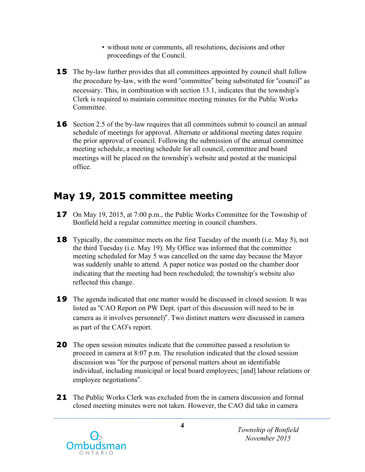- • without note or comments, all resolutions, decisions and other proceedings of the Council.
- **15** The by-law further provides that all committees appointed by council shall follow the procedure by-law, with the word "committee" being substituted for "council" as necessary. This, in combination with section 13.1, indicates that the township's Clerk is required to maintain committee meeting minutes for the Public Works Committee.
- **16** Section 2.5 of the by-law requires that all committees submit to council an annual schedule of meetings for approval. Alternate or additional meeting dates require the prior approval of council. Following the submission of the annual committee meeting schedule, a meeting schedule for all council, committee and board meetings will be placed on the township's website and posted at the municipal office.

## **May 19, 2015 committee meeting**

- **17** On May 19, 2015, at 7:00 p.m., the Public Works Committee for the Township of Bonfield held a regular committee meeting in council chambers.
- **18** Typically, the committee meets on the first Tuesday of the month (i.e. May 5), not the third Tuesday (i.e. May 19). My Office was informed that the committee meeting scheduled for May 5 was cancelled on the same day because the Mayor was suddenly unable to attend. A paper notice was posted on the chamber door indicating that the meeting had been rescheduled; the township's website also reflected this change.
- **19** The agenda indicated that one matter would be discussed in closed session. It was listed as "CAO Report on PW Dept. (part of this discussion will need to be in camera as it involves personnel)". Two distinct matters were discussed in camera as part of the CAO's report.
- **20** The open session minutes indicate that the committee passed a resolution to proceed in camera at 8:07 p.m. The resolution indicated that the closed session discussion was "for the purpose of personal matters about an identifiable individual, including municipal or local board employees; [and] labour relations or employee negotiations".
- **21** The Public Works Clerk was excluded from the in camera discussion and formal closed meeting minutes were not taken. However, the CAO did take in camera



 **<sup>4</sup>***Township of Bonfield November 2015*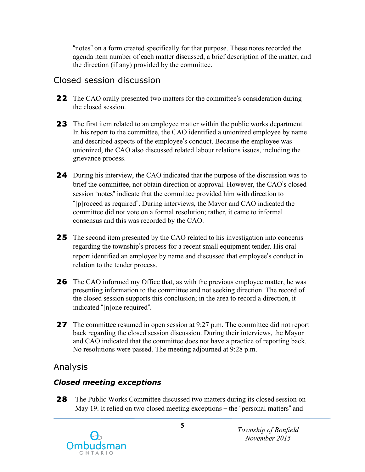"notes" on a form created specifically for that purpose. These notes recorded the agenda item number of each matter discussed, a brief description of the matter, and the direction (if any) provided by the committee.

### Closed session discussion

- **22** The CAO orally presented two matters for the committee's consideration during the closed session.
- **23** The first item related to an employee matter within the public works department. In his report to the committee, the CAO identified a unionized employee by name and described aspects of the employee's conduct. Because the employee was unionized, the CAO also discussed related labour relations issues, including the grievance process.
- **24** During his interview, the CAO indicated that the purpose of the discussion was to brief the committee, not obtain direction or approval. However, the CAO's closed session "notes" indicate that the committee provided him with direction to "[p]roceed as required". During interviews, the Mayor and CAO indicated the committee did not vote on a formal resolution; rather, it came to informal consensus and this was recorded by the CAO.
- **25** The second item presented by the CAO related to his investigation into concerns regarding the township's process for a recent small equipment tender. His oral report identified an employee by name and discussed that employee's conduct in relation to the tender process.
- **26** The CAO informed my Office that, as with the previous employee matter, he was presenting information to the committee and not seeking direction. The record of the closed session supports this conclusion; in the area to record a direction, it indicated "[n]one required".
- **27** The committee resumed in open session at 9:27 p.m. The committee did not report back regarding the closed session discussion. During their interviews, the Mayor and CAO indicated that the committee does not have a practice of reporting back. No resolutions were passed. The meeting adjourned at 9:28 p.m.

### Analysis

### *Closed meeting exceptions*

**28** The Public Works Committee discussed two matters during its closed session on May 19. It relied on two closed meeting exceptions – the "personal matters" and



 **<sup>5</sup>***Township of Bonfield November 2015*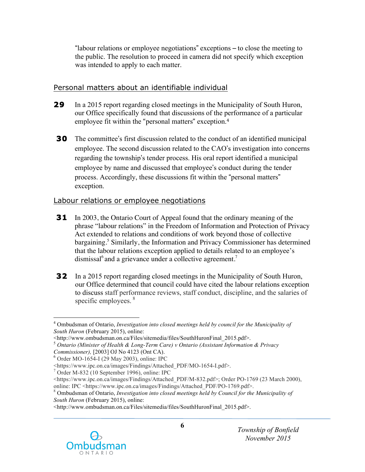"labour relations or employee negotiations" exceptions – to close the meeting to the public. The resolution to proceed in camera did not specify which exception was intended to apply to each matter.

#### Personal matters about an identifiable individual

- **29** In a 2015 report regarding closed meetings in the Municipality of South Huron, our Office specifically found that discussions of the performance of a particular employee fit within the "personal matters" exception.<sup>4</sup>
- **30** The committee's first discussion related to the conduct of an identified municipal employee. The second discussion related to the CAO's investigation into concerns regarding the township's tender process. His oral report identified a municipal employee by name and discussed that employee's conduct during the tender process. Accordingly, these discussions fit within the "personal matters" exception.

#### Labour relations or employee negotiations

- **31** In 2003, the Ontario Court of Appeal found that the ordinary meaning of the phrase "labour relations" in the Freedom of Information and Protection of Privacy Act extended to relations and conditions of work beyond those of collective bargaining.<sup>5</sup> Similarly, the Information and Privacy Commissioner has determined that the labour relations exception applied to details related to an employee's dismissal<sup>6</sup> and a grievance under a collective agreement.<sup>7</sup>
- **32** In a 2015 report regarding closed meetings in the Municipality of South Huron, our Office determined that council could have cited the labour relations exception to discuss staff performance reviews, staff conduct, discipline, and the salaries of specific employees. <sup>8</sup>

 $\overline{a}$ 

 $7$  Order M-832 (10 September 1996), online: IPC

<sup>&</sup>lt;http://www.ombudsman.on.ca/Files/sitemedia/files/SouthHuronFinal\_2015.pdf>.



 4 Ombudsman of Ontario, *Investigation into closed meetings held by council for the Municipality of South Huron* (February 2015), online:

 <http://www.ombudsman.on.ca/Files/sitemedia/files/SouthHuronFinal\_2015.pdf>. <sup>5</sup>*Ontario (Minister of Health & Long-Term Care) v Ontario (Assistant Information & Privacy*  Commissioner), [2003] OJ No 4123 (Ont CA).

*Commissioner),* [2003] OJ No 4123 (Ont CA).<br><sup>6</sup> Order MO-1654-I (29 May 2003), online: IPC

<sup>&</sup>lt;https://www.ipc.on.ca/images/Findings/Attached\_PDF/MO-1654-I.pdf>.

 <https://www.ipc.on.ca/images/Findings/Attached\_PDF/M-832.pdf>; Order PO-1769 (23 March 2000), online: IPC <https://www.ipc.on.ca/images/Findings/Attached PDF/PO-1769.pdf>.

online: IPC <https://www.ipc.on.ca/images/Findings/Attached\_PDF/PO-1769.pdf>.<br><sup>8</sup> Ombudsman of Ontario, *Investigation into closed meetings held by Council for the Municipality of South Huron* (February 2015), online: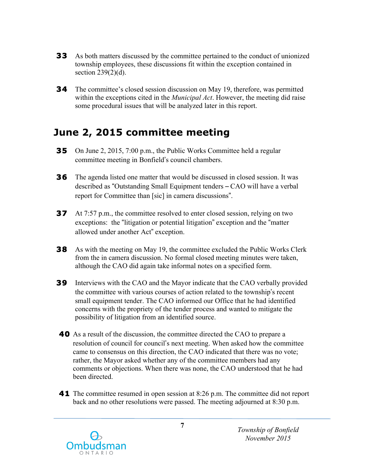- **33** As both matters discussed by the committee pertained to the conduct of unionized township employees, these discussions fit within the exception contained in section 239(2)(d).
- **34** The committee's closed session discussion on May 19, therefore, was permitted within the exceptions cited in the *Municipal Act*. However, the meeting did raise some procedural issues that will be analyzed later in this report.

## **June 2, 2015 committee meeting**

- **35** On June 2, 2015, 7:00 p.m., the Public Works Committee held a regular committee meeting in Bonfield's council chambers.
- **36** The agenda listed one matter that would be discussed in closed session. It was described as "Outstanding Small Equipment tenders – CAO will have a verbal report for Committee than [sic] in camera discussions".
- **37** At 7:57 p.m., the committee resolved to enter closed session, relying on two exceptions: the "litigation or potential litigation" exception and the "matter allowed under another Act" exception.
- **38** As with the meeting on May 19, the committee excluded the Public Works Clerk from the in camera discussion. No formal closed meeting minutes were taken, although the CAO did again take informal notes on a specified form.
- **39** Interviews with the CAO and the Mayor indicate that the CAO verbally provided the committee with various courses of action related to the township's recent small equipment tender. The CAO informed our Office that he had identified concerns with the propriety of the tender process and wanted to mitigate the possibility of litigation from an identified source.
- **40** As a result of the discussion, the committee directed the CAO to prepare a resolution of council for council's next meeting. When asked how the committee came to consensus on this direction, the CAO indicated that there was no vote; rather, the Mayor asked whether any of the committee members had any comments or objections. When there was none, the CAO understood that he had been directed.
- **41** The committee resumed in open session at 8:26 p.m. The committee did not report back and no other resolutions were passed. The meeting adjourned at 8:30 p.m.

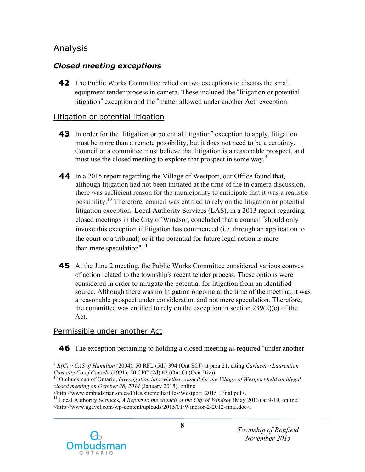## Analysis

## *Closed meeting exceptions*

**42** The Public Works Committee relied on two exceptions to discuss the small equipment tender process in camera. These included the "litigation or potential litigation" exception and the "matter allowed under another Act" exception.

### Litigation or potential litigation

- **43** In order for the "litigation or potential litigation" exception to apply, litigation must be more than a remote possibility, but it does not need to be a certainty. Council or a committee must believe that litigation is a reasonable prospect, and must use the closed meeting to explore that prospect in some way.<sup>9</sup>
- **44** In a 2015 report regarding the Village of Westport, our Office found that, although litigation had not been initiated at the time of the in camera discussion, there was sufficient reason for the municipality to anticipate that it was a realistic possibility.<sup>10</sup> Therefore, council was entitled to rely on the litigation or potential litigation exception. Local Authority Services (LAS), in a 2013 report regarding closed meetings in the City of Windsor, concluded that a council "should only invoke this exception if litigation has commenced (i.e. through an application to the court or a tribunal) or if the potential for future legal action is more than mere speculation".<sup>11</sup>
- **45** At the June 2 meeting, the Public Works Committee considered various courses of action related to the township's recent tender process. These options were considered in order to mitigate the potential for litigation from an identified source. Although there was no litigation ongoing at the time of the meeting, it was a reasonable prospect under consideration and not mere speculation. Therefore, the committee was entitled to rely on the exception in section 239(2)(e) of the Act.

### Permissible under another Act

**46** The exception pertaining to holding a closed meeting as required "under another

 <http://www.ombudsman.on.ca/Files/sitemedia/files/Westport\_2015\_Final.pdf>. 11 Local Authority Services, *A Report to the council of the City of Windsor* (May 2013) at 9-10, online: <http://www.agavel.com/wp-content/uploads/2015/01/Windsor-2-2012-final.doc>.



 $\overline{a}$ *Casualty Co of Canada* (1991), 50 CPC (2d) 62 (Ont Ct (Gen Div)). *Casualty Co of Canada* (1991), 50 CPC (2d) 62 (Ont Ct (Gen Div)).<br><sup>10</sup> Ombudsman of Ontario, *Investigation into whether council for the Village of Westport held an illegal* <sup>9</sup>*R(C) v CAS of Hamilton* (2004), 50 RFL (5th) 394 (Ont SCJ) at para 21, citing *Carlucci v Laurentian* 

 *closed meeting on October 28, 2014* (January 2015), online: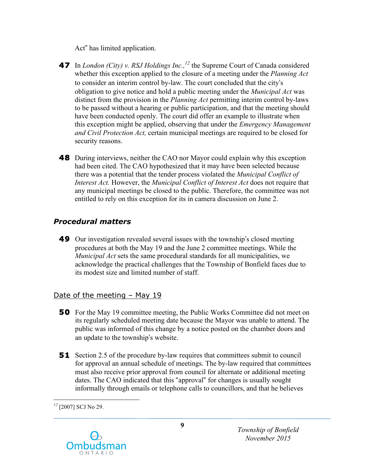Act" has limited application.

- **47** In *London (City) v. RSJ Holdings Inc.*,<sup>12</sup> the Supreme Court of Canada considered whether this exception applied to the closure of a meeting under the *Planning Act*  to consider an interim control by-law. The court concluded that the city's obligation to give notice and hold a public meeting under the *Municipal Act* was distinct from the provision in the *Planning Act* permitting interim control by-laws to be passed without a hearing or public participation, and that the meeting should have been conducted openly. The court did offer an example to illustrate when this exception might be applied, observing that under the *Emergency Management and Civil Protection Act,* certain municipal meetings are required to be closed for security reasons.
- **48** During interviews, neither the CAO nor Mayor could explain why this exception had been cited. The CAO hypothesized that it may have been selected because there was a potential that the tender process violated the *Municipal Conflict of Interest Act.* However, the *Municipal Conflict of Interest Act* does not require that any municipal meetings be closed to the public. Therefore, the committee was not entitled to rely on this exception for its in camera discussion on June 2.

### *Procedural matters*

 **49** Our investigation revealed several issues with the township's closed meeting procedures at both the May 19 and the June 2 committee meetings. While the *Municipal Act* sets the same procedural standards for all municipalities, we acknowledge the practical challenges that the Township of Bonfield faces due to its modest size and limited number of staff.

### Date of the meeting - May 19

- **50** For the May 19 committee meeting, the Public Works Committee did not meet on its regularly scheduled meeting date because the Mayor was unable to attend. The public was informed of this change by a notice posted on the chamber doors and an update to the township's website.
- **51** Section 2.5 of the procedure by-law requires that committees submit to council for approval an annual schedule of meetings. The by-law required that committees must also receive prior approval from council for alternate or additional meeting dates. The CAO indicated that this "approval" for changes is usually sought informally through emails or telephone calls to councillors, and that he believes

 $\overline{a}$ *<sup>12</sup>*[2007] SCJ No 29.

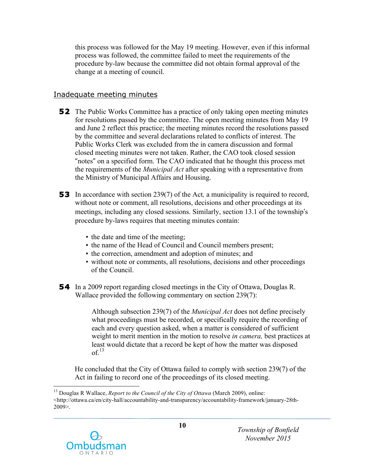this process was followed for the May 19 meeting. However, even if this informal process was followed, the committee failed to meet the requirements of the procedure by-law because the committee did not obtain formal approval of the change at a meeting of council.

#### Inadequate meeting minutes

- **52** The Public Works Committee has a practice of only taking open meeting minutes for resolutions passed by the committee. The open meeting minutes from May 19 and June 2 reflect this practice; the meeting minutes record the resolutions passed by the committee and several declarations related to conflicts of interest. The Public Works Clerk was excluded from the in camera discussion and formal closed meeting minutes were not taken. Rather, the CAO took closed session "notes" on a specified form. The CAO indicated that he thought this process met the requirements of the *Municipal Act* after speaking with a representative from the Ministry of Municipal Affairs and Housing.
- **53** In accordance with section 239(7) of the Act*,* a municipality is required to record, without note or comment, all resolutions, decisions and other proceedings at its meetings, including any closed sessions. Similarly, section 13.1 of the township's procedure by-laws requires that meeting minutes contain:
	- the date and time of the meeting;
	- the name of the Head of Council and Council members present;
	- the correction, amendment and adoption of minutes; and
	- • without note or comments, all resolutions, decisions and other proceedings of the Council.
- **54** In a 2009 report regarding closed meetings in the City of Ottawa, Douglas R. Wallace provided the following commentary on section 239(7):

 Although subsection 239(7) of the *Municipal Act* does not define precisely what proceedings must be recorded, or specifically require the recording of each and every question asked, when a matter is considered of sufficient weight to merit mention in the motion to resolve *in camera,* best practices at least would dictate that a record be kept of how the matter was disposed  $of.<sup>13</sup>$ 

 He concluded that the City of Ottawa failed to comply with section 239(7) of the Act in failing to record one of the proceedings of its closed meeting.

<sup>&</sup>lt;sup>13</sup> Douglas R Wallace, *Report to the Council of the City of Ottawa* (March 2009), online: <http://ottawa.ca/en/city-hall/accountability-and-transparency/accountability-framework/january-28th-2009>.



 $\overline{a}$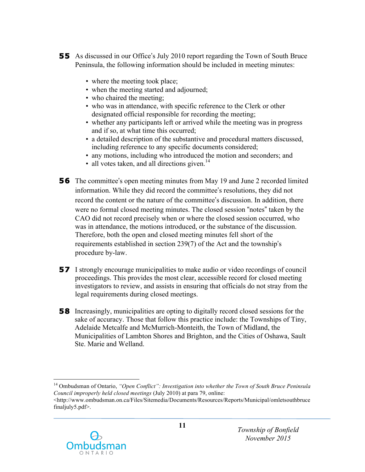- **55** As discussed in our Office's July 2010 report regarding the Town of South Bruce Peninsula, the following information should be included in meeting minutes:
	- where the meeting took place;
	- when the meeting started and adjourned;
	- who chaired the meeting;
	- • who was in attendance, with specific reference to the Clerk or other designated official responsible for recording the meeting;
	- • whether any participants left or arrived while the meeting was in progress and if so, at what time this occurred;
	- • a detailed description of the substantive and procedural matters discussed, including reference to any specific documents considered;
	- any motions, including who introduced the motion and seconders; and
	- $\cdot$  all votes taken, and all directions given.<sup>14</sup>
- **56** The committee's open meeting minutes from May 19 and June 2 recorded limited information. While they did record the committee's resolutions, they did not record the content or the nature of the committee's discussion. In addition, there were no formal closed meeting minutes. The closed session "notes" taken by the CAO did not record precisely when or where the closed session occurred, who was in attendance, the motions introduced, or the substance of the discussion. Therefore, both the open and closed meeting minutes fell short of the requirements established in section 239(7) of the Act and the township's procedure by-law.
- **57** I strongly encourage municipalities to make audio or video recordings of council proceedings. This provides the most clear, accessible record for closed meeting investigators to review, and assists in ensuring that officials do not stray from the legal requirements during closed meetings.
- **58** Increasingly, municipalities are opting to digitally record closed sessions for the sake of accuracy. Those that follow this practice include: the Townships of Tiny, Adelaide Metcalfe and McMurrich-Monteith, the Town of Midland, the Municipalities of Lambton Shores and Brighton, and the Cities of Oshawa, Sault Ste. Marie and Welland.

 finaljuly5.pdf>. <http://www.ombudsman.on.ca/Files/Sitemedia/Documents/Resources/Reports/Municipal/omletsouthbruce



 $\overline{a}$ 

 *Council improperly held closed meetings* (July 2010) at para 79, online: 14 Ombudsman of Ontario, *"Open Conflict": Investigation into whether the Town of South Bruce Peninsula*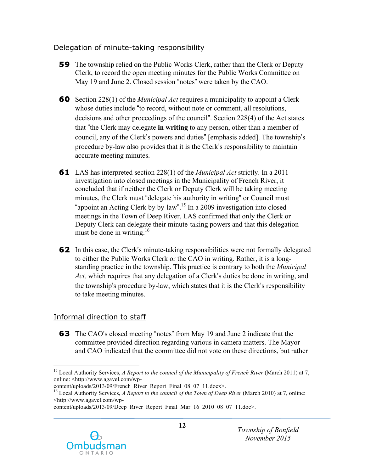### Delegation of minute-taking responsibility

- **59** The township relied on the Public Works Clerk, rather than the Clerk or Deputy Clerk, to record the open meeting minutes for the Public Works Committee on May 19 and June 2. Closed session "notes" were taken by the CAO.
- **60** Section 228(1) of the *Municipal Act* requires a municipality to appoint a Clerk whose duties include "to record, without note or comment, all resolutions, decisions and other proceedings of the council". Section 228(4) of the Act states that "the Clerk may delegate **in writing** to any person, other than a member of council, any of the Clerk's powers and duties" [emphasis added]. The township's procedure by-law also provides that it is the Clerk's responsibility to maintain accurate meeting minutes.
- **61** LAS has interpreted section 228(1) of the *Municipal Act* strictly. In a 2011 investigation into closed meetings in the Municipality of French River, it concluded that if neither the Clerk or Deputy Clerk will be taking meeting minutes, the Clerk must "delegate his authority in writing" or Council must "appoint an Acting Clerk by by-law".<sup>15</sup> In a 2009 investigation into closed meetings in the Town of Deep River, LAS confirmed that only the Clerk or Deputy Clerk can delegate their minute-taking powers and that this delegation must be done in writing.<sup>16</sup>
- **62** In this case, the Clerk's minute-taking responsibilities were not formally delegated to either the Public Works Clerk or the CAO in writing. Rather, it is a long- standing practice in the township. This practice is contrary to both the *Municipal Act,* which requires that any delegation of a Clerk's duties be done in writing, and the township's procedure by-law, which states that it is the Clerk's responsibility to take meeting minutes.

## Informal direction to staff

 **63** The CAO's closed meeting "notes" from May 19 and June 2 indicate that the committee provided direction regarding various in camera matters. The Mayor and CAO indicated that the committee did not vote on these directions, but rather

content/uploads/2013/09/Deep\_River\_Report\_Final\_Mar\_16\_2010\_08\_07\_11.doc>.



<sup>&</sup>lt;u>.</u> <sup>15</sup> Local Authority Services, *A Report to the council of the Municipality of French River* (March 2011) at 7, online: <http://www.agavel.com/wp-

 content/uploads/2013/09/French\_River\_Report\_Final\_08\_07\_11.docx>.

<sup>&</sup>lt;sup>16</sup> Local Authority Services, *A Report to the council of the Town of Deep River* (March 2010) at 7, online: <http://www.agavel.com/wp-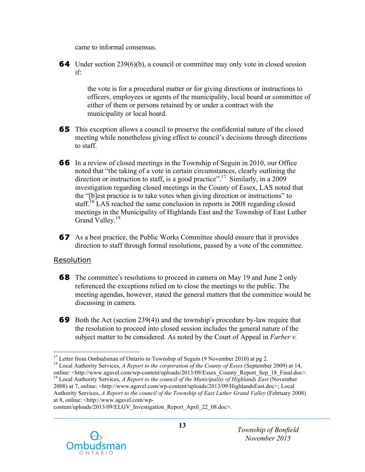came to informal consensus.

**64** Under section 239(6)(b), a council or committee may only vote in closed session  $if<sup>2</sup>$ 

 if: the vote is for a procedural matter or for giving directions or instructions to officers, employees or agents of the municipality, local board or committee of either of them or persons retained by or under a contract with the municipality or local board.

- **65** This exception allows a council to preserve the confidential nature of the closed meeting while nonetheless giving effect to council's decisions through directions to staff.
- **66** In a review of closed meetings in the Township of Seguin in 2010, our Office noted that "the taking of a vote in certain circumstances, clearly outlining the direction or instruction to staff, is a good practice".<sup>17</sup> Similarly, in a 2009 investigation regarding closed meetings in the County of Essex, LAS noted that the "[b]est practice is to take votes when giving direction or instructions" to staff.<sup>18</sup> LAS reached the same conclusion in reports in 2008 regarding closed meetings in the Municipality of Highlands East and the Township of East Luther Grand Valley.<sup>19</sup>
- **67** As a best practice, the Public Works Committee should ensure that it provides direction to staff through formal resolutions, passed by a vote of the committee.

### Resolution

- **68** The committee's resolutions to proceed in camera on May 19 and June 2 only referenced the exceptions relied on to close the meetings to the public. The meeting agendas, however, stated the general matters that the committee would be discussing in camera.
- **69** Both the Act (section 239(4)) and the township's procedure by-law require that the resolution to proceed into closed session includes the general nature of the subject matter to be considered. As noted by the Court of Appeal in *Farber v.*

 Authority Services, *A Report to the council of the Township of East Luther Grand Valley* (February 2008) at 8, online: <http://www.agavel.com/wp-

content/uploads/2013/09/ELGV\_Investigation\_Report\_April\_22\_08.doc>.



 $\overline{a}$ 

<sup>&</sup>lt;sup>17</sup> Letter from Ombudsman of Ontario to Township of Seguin (9 November 2010) at pg 2.<br><sup>18</sup> Local Authority Services, *A Report to the corporation of the County of Essex* (September 2009) at 14, online: <http://www.agavel.com/wp-content/uploads/2013/09/Essex\_County\_Report\_Sep\_18\_Final.doc>. 19 Local Authority Services, *A Report to the council of the Municipality of Highlands East* (November 2008) at 7, online: <http://www.agavel.com/wp-content/uploads/2013/09/HighlandsEast.doc>; Local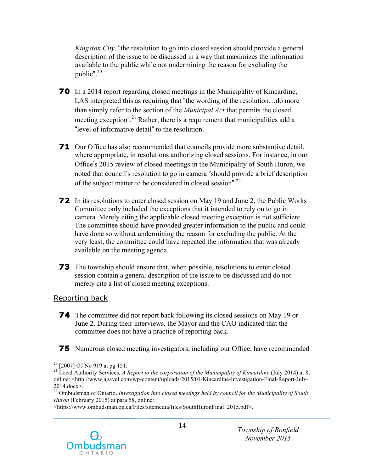*Kingston City,* "the resolution to go into closed session should provide a general description of the issue to be discussed in a way that maximizes the information available to the public while not undermining the reason for excluding the public". 20

- **70** In a 2014 report regarding closed meetings in the Municipality of Kincardine, LAS interpreted this as requiring that "the wording of the resolution…do more than simply refer to the section of the *Municipal Act* that permits the closed meeting exception".<sup>21</sup> Rather, there is a requirement that municipalities add a "level of informative detail" to the resolution.
- **71** Our Office has also recommended that councils provide more substantive detail, where appropriate, in resolutions authorizing closed sessions. For instance, in our Office's 2015 review of closed meetings in the Municipality of South Huron, we noted that council's resolution to go in camera "should provide a brief description of the subject matter to be considered in closed session".<sup>22</sup>
- **72** In its resolutions to enter closed session on May 19 and June 2, the Public Works Committee only included the exceptions that it intended to rely on to go in camera*.* Merely citing the applicable closed meeting exception is not sufficient. The committee should have provided greater information to the public and could have done so without undermining the reason for excluding the public. At the very least, the committee could have repeated the information that was already available on the meeting agenda.
- **73** The township should ensure that, when possible, resolutions to enter closed session contain a general description of the issue to be discussed and do not merely cite a list of closed meeting exceptions.

#### Reporting back

- **74** The committee did not report back following its closed sessions on May 19 or June 2. During their interviews, the Mayor and the CAO indicated that the committee does not have a practice of reporting back.
- **75** Numerous closed meeting investigators, including our Office, have recommended

 <https://www.ombudsman.on.ca/Files/sitemedia/files/SouthHuronFinal\_2015.pdf>.



 $\overline{a}$ 

<sup>&</sup>lt;sup>20</sup> [2007] OJ No 919 at pg 151.<br><sup>21</sup> Local Authority Services, *A Report to the corporation of the Municipality of Kincardine (July 2014) at 8,* online: <http://www.agavel.com/wp-content/uploads/2015/01/Kincardine-Investigation-Final-Report-July-2014.docx>.

 22 Ombudsman of Ontario, *Investigation into closed meetings held by council for the Municipality of South Huron* (February 2015) at para 58, online: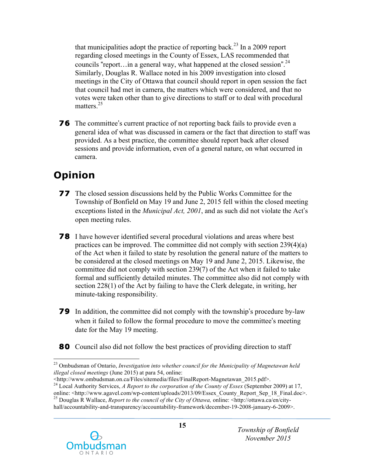that municipalities adopt the practice of reporting back.<sup>23</sup> In a 2009 report regarding closed meetings in the County of Essex, LAS recommended that councils "report... in a general way, what happened at the closed session".<sup>24</sup> Similarly, Douglas R. Wallace noted in his 2009 investigation into closed meetings in the City of Ottawa that council should report in open session the fact that council had met in camera, the matters which were considered, and that no votes were taken other than to give directions to staff or to deal with procedural matters.<sup>25</sup>

**76** The committee's current practice of not reporting back fails to provide even a general idea of what was discussed in camera or the fact that direction to staff was provided. As a best practice, the committee should report back after closed sessions and provide information, even of a general nature, on what occurred in camera.

# **Opinion**

- **77** The closed session discussions held by the Public Works Committee for the Township of Bonfield on May 19 and June 2, 2015 fell within the closed meeting exceptions listed in the *Municipal Act, 2001*, and as such did not violate the Act's open meeting rules.
- **78** I have however identified several procedural violations and areas where best practices can be improved. The committee did not comply with section 239(4)(a) of the Act when it failed to state by resolution the general nature of the matters to be considered at the closed meetings on May 19 and June 2, 2015. Likewise, the committee did not comply with section 239(7) of the Act when it failed to take formal and sufficiently detailed minutes. The committee also did not comply with section 228(1) of the Act by failing to have the Clerk delegate, in writing, her minute-taking responsibility.
- **79** In addition, the committee did not comply with the township's procedure by-law when it failed to follow the formal procedure to move the committee's meeting date for the May 19 meeting.
- **80** Council also did not follow the best practices of providing direction to staff

hall/accountability-and-transparency/accountability-framework/december-19-2008-january-6-2009>.



<sup>1</sup>  *illegal closed meetings* (June 2015) at para 54, online: 23 Ombudsman of Ontario, *Investigation into whether council for the Municipality of Magnetawan held* 

<sup>&</sup>lt;http://www.ombudsman.on.ca/Files/sitemedia/files/FinalReport-Magnetawan 2015.pdf>.

 <http://www.ombudsman.on.ca/Files/sitemedia/files/FinalReport-Magnetawan\_2015.pdf>. 24 Local Authority Services, *A Report to the corporation of the County of Essex* (September 2009) at 17, online: <http://www.agavel.com/wp-content/uploads/2013/09/Essex\_County\_Report\_Sep\_18\_Final.doc>. 25 Douglas R Wallace, *Report to the council of the City of Ottawa,* online: <http://ottawa.ca/en/city-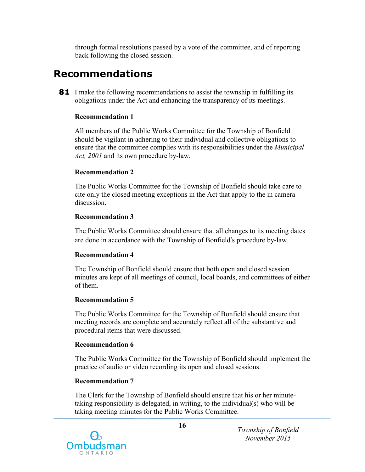through formal resolutions passed by a vote of the committee, and of reporting back following the closed session.

## **Recommendations**

**81** I make the following recommendations to assist the township in fulfilling its obligations under the Act and enhancing the transparency of its meetings.

#### **Recommendation 1**

 All members of the Public Works Committee for the Township of Bonfield should be vigilant in adhering to their individual and collective obligations to ensure that the committee complies with its responsibilities under the *Municipal Act, 2001* and its own procedure by-law.

#### **Recommendation 2**

 The Public Works Committee for the Township of Bonfield should take care to cite only the closed meeting exceptions in the Act that apply to the in camera discussion.

#### **Recommendation 3**

 The Public Works Committee should ensure that all changes to its meeting dates are done in accordance with the Township of Bonfield's procedure by-law.

#### **Recommendation 4**

 minutes are kept of all meetings of council, local boards, and committees of either of them. The Township of Bonfield should ensure that both open and closed session

#### **Recommendation 5**

 meeting records are complete and accurately reflect all of the substantive and procedural items that were discussed. The Public Works Committee for the Township of Bonfield should ensure that

#### **Recommendation 6**

 The Public Works Committee for the Township of Bonfield should implement the practice of audio or video recording its open and closed sessions.

#### **Recommendation 7**

 The Clerk for the Township of Bonfield should ensure that his or her minute- taking responsibility is delegated, in writing, to the individual(s) who will be taking meeting minutes for the Public Works Committee.